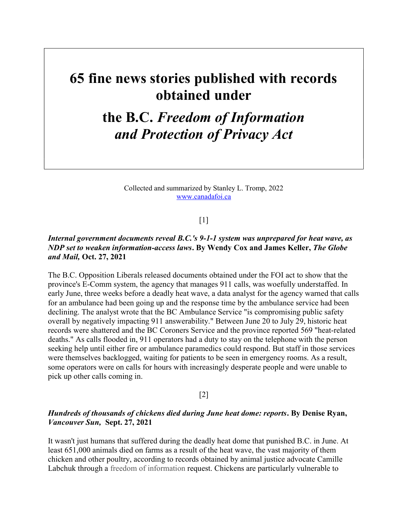# 65 fine news stories published with records obtained under

# the B.C. Freedom of Information and Protection of Privacy Act

Collected and summarized by Stanley L. Tromp, 2022 www.canadafoi.ca

# $[1]$

# Internal government documents reveal B.C.'s 9-1-1 system was unprepared for heat wave, as NDP set to weaken information-access laws. By Wendy Cox and James Keller, The Globe and Mail, Oct. 27, 2021

The B.C. Opposition Liberals released documents obtained under the FOI act to show that the province's E-Comm system, the agency that manages 911 calls, was woefully understaffed. In early June, three weeks before a deadly heat wave, a data analyst for the agency warned that calls for an ambulance had been going up and the response time by the ambulance service had been declining. The analyst wrote that the BC Ambulance Service "is compromising public safety overall by negatively impacting 911 answerability." Between June 20 to July 29, historic heat records were shattered and the BC Coroners Service and the province reported 569 "heat-related deaths." As calls flooded in, 911 operators had a duty to stay on the telephone with the person seeking help until either fire or ambulance paramedics could respond. But staff in those services were themselves backlogged, waiting for patients to be seen in emergency rooms. As a result, some operators were on calls for hours with increasingly desperate people and were unable to pick up other calls coming in.

# [2]

# Hundreds of thousands of chickens died during June heat dome: reports. By Denise Ryan, Vancouver Sun, Sept. 27, 2021

It wasn't just humans that suffered during the deadly heat dome that punished B.C. in June. At least 651,000 animals died on farms as a result of the heat wave, the vast majority of them chicken and other poultry, according to records obtained by animal justice advocate Camille Labchuk through a freedom of information request. Chickens are particularly vulnerable to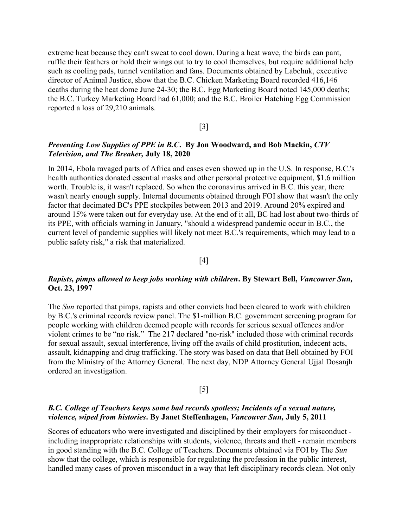extreme heat because they can't sweat to cool down. During a heat wave, the birds can pant, ruffle their feathers or hold their wings out to try to cool themselves, but require additional help such as cooling pads, tunnel ventilation and fans. Documents obtained by Labchuk, executive director of Animal Justice, show that the B.C. Chicken Marketing Board recorded 416,146 deaths during the heat dome June 24-30; the B.C. Egg Marketing Board noted 145,000 deaths; the B.C. Turkey Marketing Board had 61,000; and the B.C. Broiler Hatching Egg Commission reported a loss of 29,210 animals.

#### [3]

# Preventing Low Supplies of PPE in B.C. By Jon Woodward, and Bob Mackin, CTV Television, and The Breaker, July 18, 2020

In 2014, Ebola ravaged parts of Africa and cases even showed up in the U.S. In response, B.C.'s health authorities donated essential masks and other personal protective equipment, \$1.6 million worth. Trouble is, it wasn't replaced. So when the coronavirus arrived in B.C. this year, there wasn't nearly enough supply. Internal documents obtained through FOI show that wasn't the only factor that decimated BC's PPE stockpiles between 2013 and 2019. Around 20% expired and around 15% were taken out for everyday use. At the end of it all, BC had lost about two-thirds of its PPE, with officials warning in January, "should a widespread pandemic occur in B.C., the current level of pandemic supplies will likely not meet B.C.'s requirements, which may lead to a public safety risk," a risk that materialized.

#### [4]

# Rapists, pimps allowed to keep jobs working with children. By Stewart Bell, Vancouver Sun, Oct. 23, 1997

The *Sun* reported that pimps, rapists and other convicts had been cleared to work with children by B.C.'s criminal records review panel. The \$1-million B.C. government screening program for people working with children deemed people with records for serious sexual offences and/or violent crimes to be "no risk." The 217 declared "no-risk" included those with criminal records for sexual assault, sexual interference, living off the avails of child prostitution, indecent acts, assault, kidnapping and drug trafficking. The story was based on data that Bell obtained by FOI from the Ministry of the Attorney General. The next day, NDP Attorney General Ujjal Dosanjh ordered an investigation.

## [5]

## B.C. College of Teachers keeps some bad records spotless; Incidents of a sexual nature, violence, wiped from histories. By Janet Steffenhagen, Vancouver Sun, July 5, 2011

Scores of educators who were investigated and disciplined by their employers for misconduct including inappropriate relationships with students, violence, threats and theft - remain members in good standing with the B.C. College of Teachers. Documents obtained via FOI by The Sun show that the college, which is responsible for regulating the profession in the public interest, handled many cases of proven misconduct in a way that left disciplinary records clean. Not only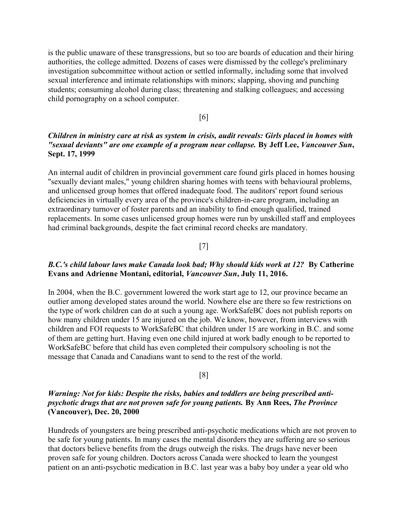is the public unaware of these transgressions, but so too are boards of education and their hiring authorities, the college admitted. Dozens of cases were dismissed by the college's preliminary investigation subcommittee without action or settled informally, including some that involved sexual interference and intimate relationships with minors; slapping, shoving and punching students; consuming alcohol during class; threatening and stalking colleagues; and accessing child pornography on a school computer.

#### [6]

# Children in ministry care at risk as system in crisis, audit reveals: Girls placed in homes with "sexual deviants" are one example of a program near collapse. By Jeff Lee, Vancouver Sun, Sept. 17, 1999

An internal audit of children in provincial government care found girls placed in homes housing "sexually deviant males," young children sharing homes with teens with behavioural problems, and unlicensed group homes that offered inadequate food. The auditors' report found serious deficiencies in virtually every area of the province's children-in-care program, including an extraordinary turnover of foster parents and an inability to find enough qualified, trained replacements. In some cases unlicensed group homes were run by unskilled staff and employees had criminal backgrounds, despite the fact criminal record checks are mandatory.

#### [7]

# B.C.'s child labour laws make Canada look bad; Why should kids work at 12? By Catherine Evans and Adrienne Montani, editorial, Vancouver Sun, July 11, 2016.

In 2004, when the B.C. government lowered the work start age to 12, our province became an outlier among developed states around the world. Nowhere else are there so few restrictions on the type of work children can do at such a young age. WorkSafeBC does not publish reports on how many children under 15 are injured on the job. We know, however, from interviews with children and FOI requests to WorkSafeBC that children under 15 are working in B.C. and some of them are getting hurt. Having even one child injured at work badly enough to be reported to WorkSafeBC before that child has even completed their compulsory schooling is not the message that Canada and Canadians want to send to the rest of the world.

#### [8]

# Warning: Not for kids: Despite the risks, babies and toddlers are being prescribed antipsychotic drugs that are not proven safe for young patients. By Ann Rees, The Province (Vancouver), Dec. 20, 2000

Hundreds of youngsters are being prescribed anti-psychotic medications which are not proven to be safe for young patients. In many cases the mental disorders they are suffering are so serious that doctors believe benefits from the drugs outweigh the risks. The drugs have never been proven safe for young children. Doctors across Canada were shocked to learn the youngest patient on an anti-psychotic medication in B.C. last year was a baby boy under a year old who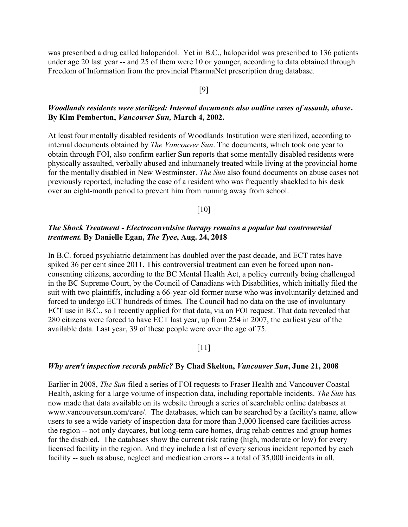was prescribed a drug called haloperidol. Yet in B.C., haloperidol was prescribed to 136 patients under age 20 last year -- and 25 of them were 10 or younger, according to data obtained through Freedom of Information from the provincial PharmaNet prescription drug database.

#### [9]

# Woodlands residents were sterilized: Internal documents also outline cases of assault, abuse. By Kim Pemberton, Vancouver Sun, March 4, 2002.

At least four mentally disabled residents of Woodlands Institution were sterilized, according to internal documents obtained by The Vancouver Sun. The documents, which took one year to obtain through FOI, also confirm earlier Sun reports that some mentally disabled residents were physically assaulted, verbally abused and inhumanely treated while living at the provincial home for the mentally disabled in New Westminster. The Sun also found documents on abuse cases not previously reported, including the case of a resident who was frequently shackled to his desk over an eight-month period to prevent him from running away from school.

## [10]

# The Shock Treatment - Electroconvulsive therapy remains a popular but controversial treatment. By Danielle Egan, The Tyee, Aug. 24, 2018

In B.C. forced psychiatric detainment has doubled over the past decade, and ECT rates have spiked 36 per cent since 2011. This controversial treatment can even be forced upon nonconsenting citizens, according to the BC Mental Health Act, a policy currently being challenged in the BC Supreme Court, by the Council of Canadians with Disabilities, which initially filed the suit with two plaintiffs, including a 66-year-old former nurse who was involuntarily detained and forced to undergo ECT hundreds of times. The Council had no data on the use of involuntary ECT use in B.C., so I recently applied for that data, via an FOI request. That data revealed that 280 citizens were forced to have ECT last year, up from 254 in 2007, the earliest year of the available data. Last year, 39 of these people were over the age of 75.

## $[11]$

#### Why aren't inspection records public? By Chad Skelton, Vancouver Sun, June 21, 2008

Earlier in 2008, The Sun filed a series of FOI requests to Fraser Health and Vancouver Coastal Health, asking for a large volume of inspection data, including reportable incidents. The Sun has now made that data available on its website through a series of searchable online databases at www.vancouversun.com/care/. The databases, which can be searched by a facility's name, allow users to see a wide variety of inspection data for more than 3,000 licensed care facilities across the region -- not only daycares, but long-term care homes, drug rehab centres and group homes for the disabled. The databases show the current risk rating (high, moderate or low) for every licensed facility in the region. And they include a list of every serious incident reported by each facility -- such as abuse, neglect and medication errors -- a total of 35,000 incidents in all.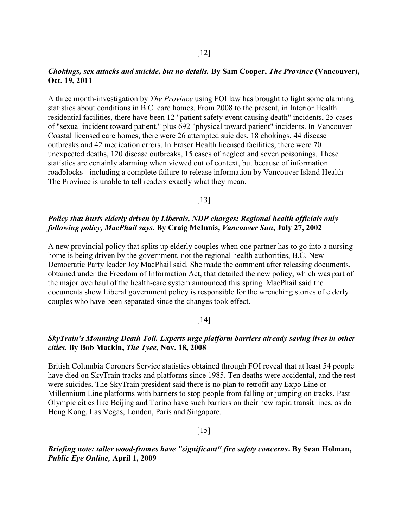## Chokings, sex attacks and suicide, but no details. By Sam Cooper, The Province (Vancouver), Oct. 19, 2011

A three month-investigation by The Province using FOI law has brought to light some alarming statistics about conditions in B.C. care homes. From 2008 to the present, in Interior Health residential facilities, there have been 12 "patient safety event causing death" incidents, 25 cases of "sexual incident toward patient," plus 692 "physical toward patient" incidents. In Vancouver Coastal licensed care homes, there were 26 attempted suicides, 18 chokings, 44 disease outbreaks and 42 medication errors. In Fraser Health licensed facilities, there were 70 unexpected deaths, 120 disease outbreaks, 15 cases of neglect and seven poisonings. These statistics are certainly alarming when viewed out of context, but because of information roadblocks - including a complete failure to release information by Vancouver Island Health - The Province is unable to tell readers exactly what they mean.

[13]

# Policy that hurts elderly driven by Liberals, NDP charges: Regional health officials only following policy, MacPhail says. By Craig McInnis, Vancouver Sun, July 27, 2002

A new provincial policy that splits up elderly couples when one partner has to go into a nursing home is being driven by the government, not the regional health authorities, B.C. New Democratic Party leader Joy MacPhail said. She made the comment after releasing documents, obtained under the Freedom of Information Act, that detailed the new policy, which was part of the major overhaul of the health-care system announced this spring. MacPhail said the documents show Liberal government policy is responsible for the wrenching stories of elderly couples who have been separated since the changes took effect.

#### $\lceil 14 \rceil$

# SkyTrain's Mounting Death Toll. Experts urge platform barriers already saving lives in other cities. By Bob Mackin, The Tyee, Nov. 18, 2008

British Columbia Coroners Service statistics obtained through FOI reveal that at least 54 people have died on SkyTrain tracks and platforms since 1985. Ten deaths were accidental, and the rest were suicides. The SkyTrain president said there is no plan to retrofit any Expo Line or Millennium Line platforms with barriers to stop people from falling or jumping on tracks. Past Olympic cities like Beijing and Torino have such barriers on their new rapid transit lines, as do Hong Kong, Las Vegas, London, Paris and Singapore.

#### [15]

Briefing note: taller wood-frames have "significant" fire safety concerns. By Sean Holman, Public Eye Online, April 1, 2009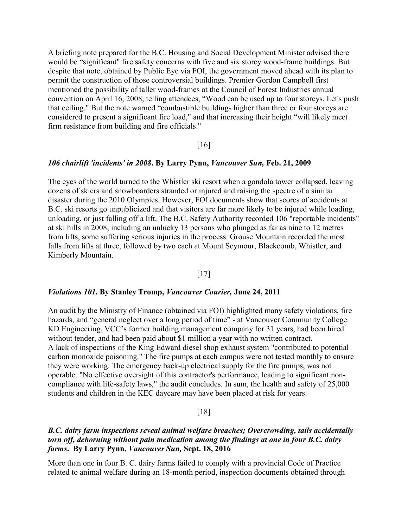A briefing note prepared for the B.C. Housing and Social Development Minister advised there would be "significant" fire safety concerns with five and six storey wood-frame buildings. But despite that note, obtained by Public Eye via FOI, the government moved ahead with its plan to permit the construction of those controversial buildings. Premier Gordon Campbell first mentioned the possibility of taller wood-frames at the Council of Forest Industries annual convention on April 16, 2008, telling attendees, "Wood can be used up to four storeys. Let's push that ceiling." But the note warned "combustible buildings higher than three or four storeys are considered to present a significant fire load," and that increasing their height "will likely meet firm resistance from building and fire officials."

#### [16]

#### 106 chairlift 'incidents' in 2008. By Larry Pynn, Vancouver Sun, Feb. 21, 2009

The eyes of the world turned to the Whistler ski resort when a gondola tower collapsed, leaving dozens of skiers and snowboarders stranded or injured and raising the spectre of a similar disaster during the 2010 Olympics. However, FOI documents show that scores of accidents at B.C. ski resorts go unpublicized and that visitors are far more likely to be injured while loading, unloading, or just falling off a lift. The B.C. Safety Authority recorded 106 "reportable incidents" at ski hills in 2008, including an unlucky 13 persons who plunged as far as nine to 12 metres from lifts, some suffering serious injuries in the process. Grouse Mountain recorded the most falls from lifts at three, followed by two each at Mount Seymour, Blackcomb, Whistler, and Kimberly Mountain.

#### $[17]$

#### Violations 101. By Stanley Tromp, Vancouver Courier, June 24, 2011

An audit by the Ministry of Finance (obtained via FOI) highlighted many safety violations, fire hazards, and "general neglect over a long period of time" - at Vancouver Community College. KD Engineering, VCC's former building management company for 31 years, had been hired without tender, and had been paid about \$1 million a year with no written contract. A lack of inspections of the King Edward diesel shop exhaust system "contributed to potential carbon monoxide poisoning." The fire pumps at each campus were not tested monthly to ensure they were working. The emergency back-up electrical supply for the fire pumps, was not operable. "No effective oversight of this contractor's performance, leading to significant noncompliance with life-safety laws," the audit concludes. In sum, the health and safety of 25,000 students and children in the KEC daycare may have been placed at risk for years.

#### [18]

# B.C. dairy farm inspections reveal animal welfare breaches; Overcrowding, tails accidentally torn off, dehorning without pain medication among the findings at one in four B.C. dairy farms. By Larry Pynn, Vancouver Sun, Sept. 18, 2016

More than one in four B. C. dairy farms failed to comply with a provincial Code of Practice related to animal welfare during an 18-month period, inspection documents obtained through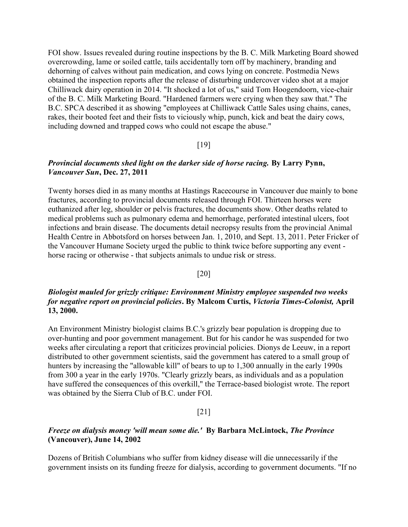FOI show. Issues revealed during routine inspections by the B. C. Milk Marketing Board showed overcrowding, lame or soiled cattle, tails accidentally torn off by machinery, branding and dehorning of calves without pain medication, and cows lying on concrete. Postmedia News obtained the inspection reports after the release of disturbing undercover video shot at a major Chilliwack dairy operation in 2014. "It shocked a lot of us," said Tom Hoogendoorn, vice-chair of the B. C. Milk Marketing Board. "Hardened farmers were crying when they saw that." The B.C. SPCA described it as showing "employees at Chilliwack Cattle Sales using chains, canes, rakes, their booted feet and their fists to viciously whip, punch, kick and beat the dairy cows, including downed and trapped cows who could not escape the abuse."

## [19]

# Provincial documents shed light on the darker side of horse racing. By Larry Pynn, Vancouver Sun, Dec. 27, 2011

Twenty horses died in as many months at Hastings Racecourse in Vancouver due mainly to bone fractures, according to provincial documents released through FOI. Thirteen horses were euthanized after leg, shoulder or pelvis fractures, the documents show. Other deaths related to medical problems such as pulmonary edema and hemorrhage, perforated intestinal ulcers, foot infections and brain disease. The documents detail necropsy results from the provincial Animal Health Centre in Abbotsford on horses between Jan. 1, 2010, and Sept. 13, 2011. Peter Fricker of the Vancouver Humane Society urged the public to think twice before supporting any event horse racing or otherwise - that subjects animals to undue risk or stress.

#### [20]

# Biologist mauled for grizzly critique: Environment Ministry employee suspended two weeks for negative report on provincial policies. By Malcom Curtis, Victoria Times-Colonist, April 13, 2000.

An Environment Ministry biologist claims B.C.'s grizzly bear population is dropping due to over-hunting and poor government management. But for his candor he was suspended for two weeks after circulating a report that criticizes provincial policies. Dionys de Leeuw, in a report distributed to other government scientists, said the government has catered to a small group of hunters by increasing the "allowable kill" of bears to up to 1,300 annually in the early 1990s from 300 a year in the early 1970s. "Clearly grizzly bears, as individuals and as a population have suffered the consequences of this overkill," the Terrace-based biologist wrote. The report was obtained by the Sierra Club of B.C. under FOI.

#### [21]

# Freeze on dialysis money 'will mean some die.' By Barbara McLintock, The Province (Vancouver), June 14, 2002

Dozens of British Columbians who suffer from kidney disease will die unnecessarily if the government insists on its funding freeze for dialysis, according to government documents. "If no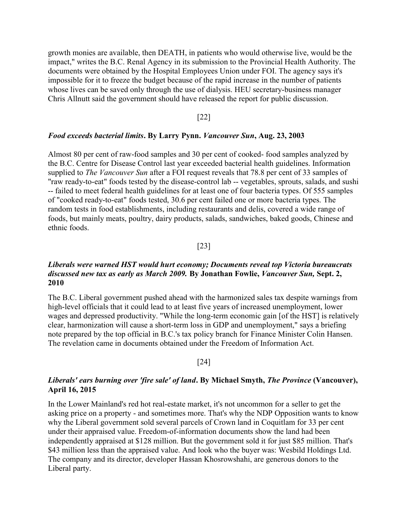growth monies are available, then DEATH, in patients who would otherwise live, would be the impact," writes the B.C. Renal Agency in its submission to the Provincial Health Authority. The documents were obtained by the Hospital Employees Union under FOI. The agency says it's impossible for it to freeze the budget because of the rapid increase in the number of patients whose lives can be saved only through the use of dialysis. HEU secretary-business manager Chris Allnutt said the government should have released the report for public discussion.

[22]

#### Food exceeds bacterial limits. By Larry Pynn. Vancouver Sun, Aug. 23, 2003

Almost 80 per cent of raw-food samples and 30 per cent of cooked- food samples analyzed by the B.C. Centre for Disease Control last year exceeded bacterial health guidelines. Information supplied to *The Vancouver Sun* after a FOI request reveals that 78.8 per cent of 33 samples of "raw ready-to-eat" foods tested by the disease-control lab -- vegetables, sprouts, salads, and sushi -- failed to meet federal health guidelines for at least one of four bacteria types. Of 555 samples of "cooked ready-to-eat" foods tested, 30.6 per cent failed one or more bacteria types. The random tests in food establishments, including restaurants and delis, covered a wide range of foods, but mainly meats, poultry, dairy products, salads, sandwiches, baked goods, Chinese and ethnic foods.

## [23]

# Liberals were warned HST would hurt economy; Documents reveal top Victoria bureaucrats discussed new tax as early as March 2009. By Jonathan Fowlie, Vancouver Sun, Sept. 2, 2010

The B.C. Liberal government pushed ahead with the harmonized sales tax despite warnings from high-level officials that it could lead to at least five years of increased unemployment, lower wages and depressed productivity. "While the long-term economic gain [of the HST] is relatively clear, harmonization will cause a short-term loss in GDP and unemployment," says a briefing note prepared by the top official in B.C.'s tax policy branch for Finance Minister Colin Hansen. The revelation came in documents obtained under the Freedom of Information Act.

#### [24]

# Liberals' ears burning over 'fire sale' of land. By Michael Smyth, The Province (Vancouver), April 16, 2015

In the Lower Mainland's red hot real-estate market, it's not uncommon for a seller to get the asking price on a property - and sometimes more. That's why the NDP Opposition wants to know why the Liberal government sold several parcels of Crown land in Coquitlam for 33 per cent under their appraised value. Freedom-of-information documents show the land had been independently appraised at \$128 million. But the government sold it for just \$85 million. That's \$43 million less than the appraised value. And look who the buyer was: Wesbild Holdings Ltd. The company and its director, developer Hassan Khosrowshahi, are generous donors to the Liberal party.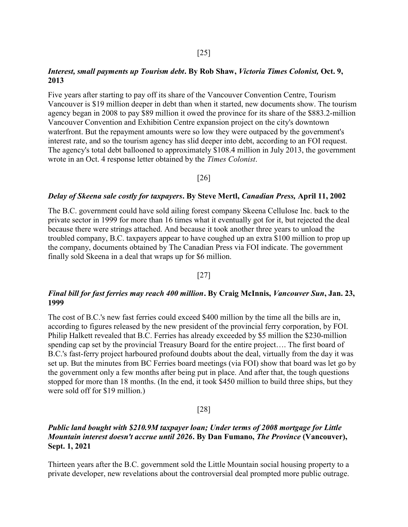## Interest, small payments up Tourism debt. By Rob Shaw, Victoria Times Colonist, Oct. 9, 2013

Five years after starting to pay off its share of the Vancouver Convention Centre, Tourism Vancouver is \$19 million deeper in debt than when it started, new documents show. The tourism agency began in 2008 to pay \$89 million it owed the province for its share of the \$883.2-million Vancouver Convention and Exhibition Centre expansion project on the city's downtown waterfront. But the repayment amounts were so low they were outpaced by the government's interest rate, and so the tourism agency has slid deeper into debt, according to an FOI request. The agency's total debt ballooned to approximately \$108.4 million in July 2013, the government wrote in an Oct. 4 response letter obtained by the Times Colonist.

[26]

#### Delay of Skeena sale costly for taxpayers. By Steve Mertl, Canadian Press, April 11, 2002

The B.C. government could have sold ailing forest company Skeena Cellulose Inc. back to the private sector in 1999 for more than 16 times what it eventually got for it, but rejected the deal because there were strings attached. And because it took another three years to unload the troubled company, B.C. taxpayers appear to have coughed up an extra \$100 million to prop up the company, documents obtained by The Canadian Press via FOI indicate. The government finally sold Skeena in a deal that wraps up for \$6 million.

#### [27]

# Final bill for fast ferries may reach 400 million. By Craig McInnis, Vancouver Sun, Jan. 23, 1999

The cost of B.C.'s new fast ferries could exceed \$400 million by the time all the bills are in, according to figures released by the new president of the provincial ferry corporation, by FOI. Philip Halkett revealed that B.C. Ferries has already exceeded by \$5 million the \$230-million spending cap set by the provincial Treasury Board for the entire project…. The first board of B.C.'s fast-ferry project harboured profound doubts about the deal, virtually from the day it was set up. But the minutes from BC Ferries board meetings (via FOI) show that board was let go by the government only a few months after being put in place. And after that, the tough questions stopped for more than 18 months. (In the end, it took \$450 million to build three ships, but they were sold off for \$19 million.)

#### [28]

# Public land bought with \$210.9M taxpayer loan; Under terms of 2008 mortgage for Little Mountain interest doesn't accrue until 2026. By Dan Fumano, The Province (Vancouver), Sept. 1, 2021

Thirteen years after the B.C. government sold the Little Mountain social housing property to a private developer, new revelations about the controversial deal prompted more public outrage.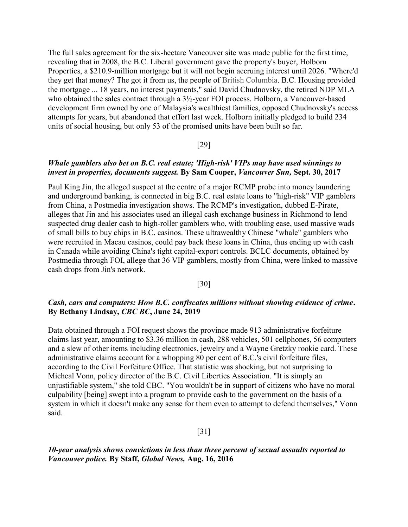The full sales agreement for the six-hectare Vancouver site was made public for the first time, revealing that in 2008, the B.C. Liberal government gave the property's buyer, Holborn Properties, a \$210.9-million mortgage but it will not begin accruing interest until 2026. "Where'd they get that money? The got it from us, the people of British Columbia. B.C. Housing provided the mortgage ... 18 years, no interest payments," said David Chudnovsky, the retired NDP MLA who obtained the sales contract through a 3½-year FOI process. Holborn, a Vancouver-based development firm owned by one of Malaysia's wealthiest families, opposed Chudnovsky's access attempts for years, but abandoned that effort last week. Holborn initially pledged to build 234 units of social housing, but only 53 of the promised units have been built so far.

## [29]

# Whale gamblers also bet on B.C. real estate; 'High-risk' VIPs may have used winnings to invest in properties, documents suggest. By Sam Cooper, Vancouver Sun, Sept. 30, 2017

Paul King Jin, the alleged suspect at the centre of a major RCMP probe into money laundering and underground banking, is connected in big B.C. real estate loans to "high-risk" VIP gamblers from China, a Postmedia investigation shows. The RCMP's investigation, dubbed E-Pirate, alleges that Jin and his associates used an illegal cash exchange business in Richmond to lend suspected drug dealer cash to high-roller gamblers who, with troubling ease, used massive wads of small bills to buy chips in B.C. casinos. These ultrawealthy Chinese "whale" gamblers who were recruited in Macau casinos, could pay back these loans in China, thus ending up with cash in Canada while avoiding China's tight capital-export controls. BCLC documents, obtained by Postmedia through FOI, allege that 36 VIP gamblers, mostly from China, were linked to massive cash drops from Jin's network.

## [30]

# Cash, cars and computers: How B.C. confiscates millions without showing evidence of crime. By Bethany Lindsay, CBC BC, June 24, 2019

Data obtained through a FOI request shows the province made 913 administrative forfeiture claims last year, amounting to \$3.36 million in cash, 288 vehicles, 501 cellphones, 56 computers and a slew of other items including electronics, jewelry and a Wayne Gretzky rookie card. These administrative claims account for a whopping 80 per cent of B.C.'s civil forfeiture files, according to the Civil Forfeiture Office. That statistic was shocking, but not surprising to Micheal Vonn, policy director of the B.C. Civil Liberties Association. "It is simply an unjustifiable system," she told CBC. "You wouldn't be in support of citizens who have no moral culpability [being] swept into a program to provide cash to the government on the basis of a system in which it doesn't make any sense for them even to attempt to defend themselves," Vonn said.

#### [31]

# 10-year analysis shows convictions in less than three percent of sexual assaults reported to Vancouver police. By Staff, Global News, Aug. 16, 2016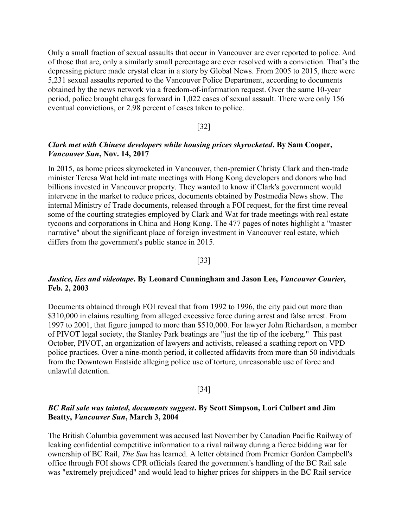Only a small fraction of sexual assaults that occur in Vancouver are ever reported to police. And of those that are, only a similarly small percentage are ever resolved with a conviction. That's the depressing picture made crystal clear in a story by Global News. From 2005 to 2015, there were 5,231 sexual assaults reported to the Vancouver Police Department, according to documents obtained by the news network via a freedom-of-information request. Over the same 10-year period, police brought charges forward in 1,022 cases of sexual assault. There were only 156 eventual convictions, or 2.98 percent of cases taken to police.

#### [32]

# Clark met with Chinese developers while housing prices skyrocketed. By Sam Cooper, Vancouver Sun, Nov. 14, 2017

In 2015, as home prices skyrocketed in Vancouver, then-premier Christy Clark and then-trade minister Teresa Wat held intimate meetings with Hong Kong developers and donors who had billions invested in Vancouver property. They wanted to know if Clark's government would intervene in the market to reduce prices, documents obtained by Postmedia News show. The internal Ministry of Trade documents, released through a FOI request, for the first time reveal some of the courting strategies employed by Clark and Wat for trade meetings with real estate tycoons and corporations in China and Hong Kong. The 477 pages of notes highlight a "master narrative" about the significant place of foreign investment in Vancouver real estate, which differs from the government's public stance in 2015.

#### [33]

# Justice, lies and videotape. By Leonard Cunningham and Jason Lee, Vancouver Courier, Feb. 2, 2003

Documents obtained through FOI reveal that from 1992 to 1996, the city paid out more than \$310,000 in claims resulting from alleged excessive force during arrest and false arrest. From 1997 to 2001, that figure jumped to more than \$510,000. For lawyer John Richardson, a member of PIVOT legal society, the Stanley Park beatings are "just the tip of the iceberg." This past October, PIVOT, an organization of lawyers and activists, released a scathing report on VPD police practices. Over a nine-month period, it collected affidavits from more than 50 individuals from the Downtown Eastside alleging police use of torture, unreasonable use of force and unlawful detention.

#### [34]

## BC Rail sale was tainted, documents suggest. By Scott Simpson, Lori Culbert and Jim Beatty, Vancouver Sun, March 3, 2004

The British Columbia government was accused last November by Canadian Pacific Railway of leaking confidential competitive information to a rival railway during a fierce bidding war for ownership of BC Rail, The Sun has learned. A letter obtained from Premier Gordon Campbell's office through FOI shows CPR officials feared the government's handling of the BC Rail sale was "extremely prejudiced" and would lead to higher prices for shippers in the BC Rail service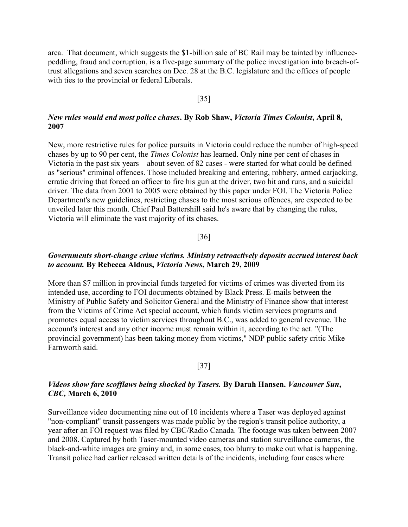area. That document, which suggests the \$1-billion sale of BC Rail may be tainted by influencepeddling, fraud and corruption, is a five-page summary of the police investigation into breach-oftrust allegations and seven searches on Dec. 28 at the B.C. legislature and the offices of people with ties to the provincial or federal Liberals.

## [35]

# New rules would end most police chases. By Rob Shaw, Victoria Times Colonist, April 8, 2007

New, more restrictive rules for police pursuits in Victoria could reduce the number of high-speed chases by up to 90 per cent, the Times Colonist has learned. Only nine per cent of chases in Victoria in the past six years – about seven of 82 cases - were started for what could be defined as "serious" criminal offences. Those included breaking and entering, robbery, armed carjacking, erratic driving that forced an officer to fire his gun at the driver, two hit and runs, and a suicidal driver. The data from 2001 to 2005 were obtained by this paper under FOI. The Victoria Police Department's new guidelines, restricting chases to the most serious offences, are expected to be unveiled later this month. Chief Paul Battershill said he's aware that by changing the rules, Victoria will eliminate the vast majority of its chases.

#### [36]

# Governments short-change crime victims. Ministry retroactively deposits accrued interest back to account. By Rebecca Aldous, Victoria News, March 29, 2009

More than \$7 million in provincial funds targeted for victims of crimes was diverted from its intended use, according to FOI documents obtained by Black Press. E-mails between the Ministry of Public Safety and Solicitor General and the Ministry of Finance show that interest from the Victims of Crime Act special account, which funds victim services programs and promotes equal access to victim services throughout B.C., was added to general revenue. The account's interest and any other income must remain within it, according to the act. "(The provincial government) has been taking money from victims," NDP public safety critic Mike Farnworth said.

#### [37]

# Videos show fare scofflaws being shocked by Tasers. By Darah Hansen. Vancouver Sun, CBC, March 6, 2010

Surveillance video documenting nine out of 10 incidents where a Taser was deployed against "non-compliant" transit passengers was made public by the region's transit police authority, a year after an FOI request was filed by CBC/Radio Canada. The footage was taken between 2007 and 2008. Captured by both Taser-mounted video cameras and station surveillance cameras, the black-and-white images are grainy and, in some cases, too blurry to make out what is happening. Transit police had earlier released written details of the incidents, including four cases where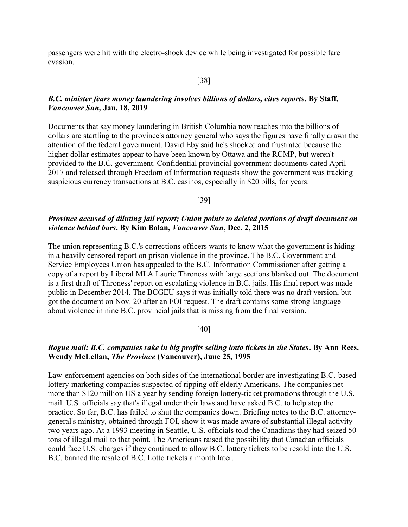passengers were hit with the electro-shock device while being investigated for possible fare evasion.

# [38]

# B.C. minister fears money laundering involves billions of dollars, cites reports. By Staff, Vancouver Sun, Jan. 18, 2019

Documents that say money laundering in British Columbia now reaches into the billions of dollars are startling to the province's attorney general who says the figures have finally drawn the attention of the federal government. David Eby said he's shocked and frustrated because the higher dollar estimates appear to have been known by Ottawa and the RCMP, but weren't provided to the B.C. government. Confidential provincial government documents dated April 2017 and released through Freedom of Information requests show the government was tracking suspicious currency transactions at B.C. casinos, especially in \$20 bills, for years.

[39]

# Province accused of diluting jail report; Union points to deleted portions of draft document on violence behind bars. By Kim Bolan, Vancouver Sun, Dec. 2, 2015

The union representing B.C.'s corrections officers wants to know what the government is hiding in a heavily censored report on prison violence in the province. The B.C. Government and Service Employees Union has appealed to the B.C. Information Commissioner after getting a copy of a report by Liberal MLA Laurie Throness with large sections blanked out. The document is a first draft of Throness' report on escalating violence in B.C. jails. His final report was made public in December 2014. The BCGEU says it was initially told there was no draft version, but got the document on Nov. 20 after an FOI request. The draft contains some strong language about violence in nine B.C. provincial jails that is missing from the final version.

# [40]

# Rogue mail: B.C. companies rake in big profits selling lotto tickets in the States. By Ann Rees, Wendy McLellan, The Province (Vancouver), June 25, 1995

Law-enforcement agencies on both sides of the international border are investigating B.C.-based lottery-marketing companies suspected of ripping off elderly Americans. The companies net more than \$120 million US a year by sending foreign lottery-ticket promotions through the U.S. mail. U.S. officials say that's illegal under their laws and have asked B.C. to help stop the practice. So far, B.C. has failed to shut the companies down. Briefing notes to the B.C. attorneygeneral's ministry, obtained through FOI, show it was made aware of substantial illegal activity two years ago. At a 1993 meeting in Seattle, U.S. officials told the Canadians they had seized 50 tons of illegal mail to that point. The Americans raised the possibility that Canadian officials could face U.S. charges if they continued to allow B.C. lottery tickets to be resold into the U.S. B.C. banned the resale of B.C. Lotto tickets a month later.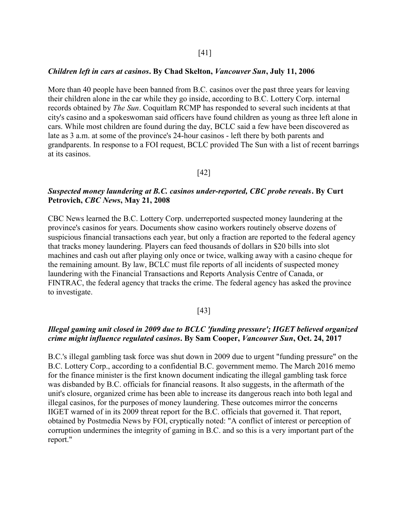#### Children left in cars at casinos. By Chad Skelton, Vancouver Sun, July 11, 2006

More than 40 people have been banned from B.C. casinos over the past three years for leaving their children alone in the car while they go inside, according to B.C. Lottery Corp. internal records obtained by The Sun. Coquitlam RCMP has responded to several such incidents at that city's casino and a spokeswoman said officers have found children as young as three left alone in cars. While most children are found during the day, BCLC said a few have been discovered as late as 3 a.m. at some of the province's 24-hour casinos - left there by both parents and grandparents. In response to a FOI request, BCLC provided The Sun with a list of recent barrings at its casinos.

## [42]

# Suspected money laundering at B.C. casinos under-reported, CBC probe reveals. By Curt Petrovich, CBC News, May 21, 2008

CBC News learned the B.C. Lottery Corp. underreported suspected money laundering at the province's casinos for years. Documents show casino workers routinely observe dozens of suspicious financial transactions each year, but only a fraction are reported to the federal agency that tracks money laundering. Players can feed thousands of dollars in \$20 bills into slot machines and cash out after playing only once or twice, walking away with a casino cheque for the remaining amount. By law, BCLC must file reports of all incidents of suspected money laundering with the Financial Transactions and Reports Analysis Centre of Canada, or FINTRAC, the federal agency that tracks the crime. The federal agency has asked the province to investigate.

#### [43]

# Illegal gaming unit closed in 2009 due to BCLC 'funding pressure'; IIGET believed organized crime might influence regulated casinos. By Sam Cooper, Vancouver Sun, Oct. 24, 2017

B.C.'s illegal gambling task force was shut down in 2009 due to urgent "funding pressure" on the B.C. Lottery Corp., according to a confidential B.C. government memo. The March 2016 memo for the finance minister is the first known document indicating the illegal gambling task force was disbanded by B.C. officials for financial reasons. It also suggests, in the aftermath of the unit's closure, organized crime has been able to increase its dangerous reach into both legal and illegal casinos, for the purposes of money laundering. These outcomes mirror the concerns IIGET warned of in its 2009 threat report for the B.C. officials that governed it. That report, obtained by Postmedia News by FOI, cryptically noted: "A conflict of interest or perception of corruption undermines the integrity of gaming in B.C. and so this is a very important part of the report."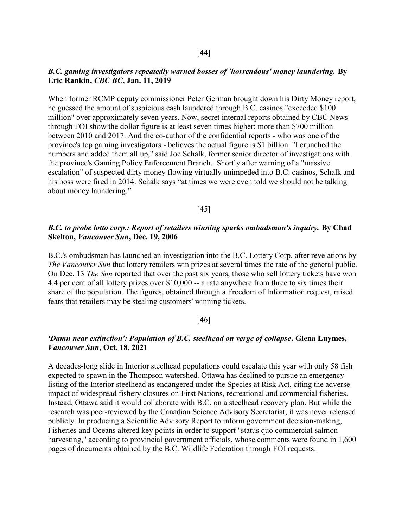## B.C. gaming investigators repeatedly warned bosses of 'horrendous' money laundering. By Eric Rankin, CBC BC, Jan. 11, 2019

When former RCMP deputy commissioner Peter German brought down his Dirty Money report, he guessed the amount of suspicious cash laundered through B.C. casinos "exceeded \$100 million" over approximately seven years. Now, secret internal reports obtained by CBC News through FOI show the dollar figure is at least seven times higher: more than \$700 million between 2010 and 2017. And the co-author of the confidential reports - who was one of the province's top gaming investigators - believes the actual figure is \$1 billion. "I crunched the numbers and added them all up," said Joe Schalk, former senior director of investigations with the province's Gaming Policy Enforcement Branch. Shortly after warning of a "massive escalation" of suspected dirty money flowing virtually unimpeded into B.C. casinos, Schalk and his boss were fired in 2014. Schalk says "at times we were even told we should not be talking about money laundering."

#### [45]

# B.C. to probe lotto corp.: Report of retailers winning sparks ombudsman's inquiry. By Chad Skelton, Vancouver Sun, Dec. 19, 2006

B.C.'s ombudsman has launched an investigation into the B.C. Lottery Corp. after revelations by The Vancouver Sun that lottery retailers win prizes at several times the rate of the general public. On Dec. 13 The Sun reported that over the past six years, those who sell lottery tickets have won 4.4 per cent of all lottery prizes over \$10,000 -- a rate anywhere from three to six times their share of the population. The figures, obtained through a Freedom of Information request, raised fears that retailers may be stealing customers' winning tickets.

#### [46]

# 'Damn near extinction': Population of B.C. steelhead on verge of collapse. Glena Luymes, Vancouver Sun, Oct. 18, 2021

A decades-long slide in Interior steelhead populations could escalate this year with only 58 fish expected to spawn in the Thompson watershed. Ottawa has declined to pursue an emergency listing of the Interior steelhead as endangered under the Species at Risk Act, citing the adverse impact of widespread fishery closures on First Nations, recreational and commercial fisheries. Instead, Ottawa said it would collaborate with B.C. on a steelhead recovery plan. But while the research was peer-reviewed by the Canadian Science Advisory Secretariat, it was never released publicly. In producing a Scientific Advisory Report to inform government decision-making, Fisheries and Oceans altered key points in order to support "status quo commercial salmon harvesting," according to provincial government officials, whose comments were found in 1,600 pages of documents obtained by the B.C. Wildlife Federation through FOI requests.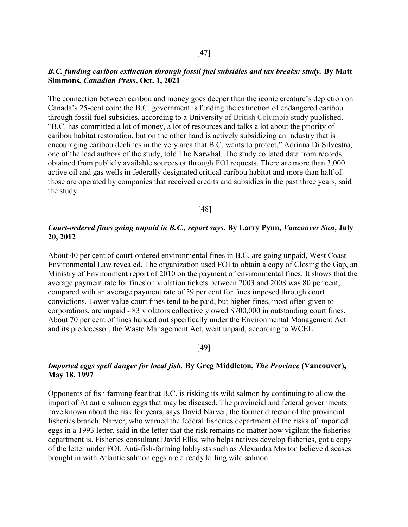## B.C. funding caribou extinction through fossil fuel subsidies and tax breaks: study. By Matt Simmons, Canadian Press, Oct. 1, 2021

The connection between caribou and money goes deeper than the iconic creature's depiction on Canada's 25-cent coin; the B.C. government is funding the extinction of endangered caribou through fossil fuel subsidies, according to a University of British Columbia study published. "B.C. has committed a lot of money, a lot of resources and talks a lot about the priority of caribou habitat restoration, but on the other hand is actively subsidizing an industry that is encouraging caribou declines in the very area that B.C. wants to protect," Adriana Di Silvestro, one of the lead authors of the study, told The Narwhal. The study collated data from records obtained from publicly available sources or through FOI requests. There are more than 3,000 active oil and gas wells in federally designated critical caribou habitat and more than half of those are operated by companies that received credits and subsidies in the past three years, said the study.

# [48]

# Court-ordered fines going unpaid in B.C., report says. By Larry Pynn, Vancouver Sun, July 20, 2012

About 40 per cent of court-ordered environmental fines in B.C. are going unpaid, West Coast Environmental Law revealed. The organization used FOI to obtain a copy of Closing the Gap, an Ministry of Environment report of 2010 on the payment of environmental fines. It shows that the average payment rate for fines on violation tickets between 2003 and 2008 was 80 per cent, compared with an average payment rate of 59 per cent for fines imposed through court convictions. Lower value court fines tend to be paid, but higher fines, most often given to corporations, are unpaid - 83 violators collectively owed \$700,000 in outstanding court fines. About 70 per cent of fines handed out specifically under the Environmental Management Act and its predecessor, the Waste Management Act, went unpaid, according to WCEL.

## [49]

# Imported eggs spell danger for local fish. By Greg Middleton, The Province (Vancouver), May 18, 1997

Opponents of fish farming fear that B.C. is risking its wild salmon by continuing to allow the import of Atlantic salmon eggs that may be diseased. The provincial and federal governments have known about the risk for years, says David Narver, the former director of the provincial fisheries branch. Narver, who warned the federal fisheries department of the risks of imported eggs in a 1993 letter, said in the letter that the risk remains no matter how vigilant the fisheries department is. Fisheries consultant David Ellis, who helps natives develop fisheries, got a copy of the letter under FOI. Anti-fish-farming lobbyists such as Alexandra Morton believe diseases brought in with Atlantic salmon eggs are already killing wild salmon.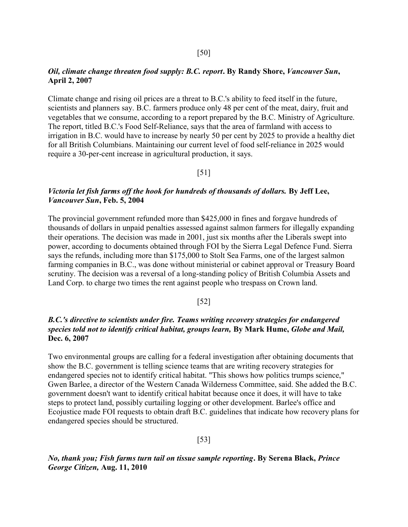## Oil, climate change threaten food supply: B.C. report. By Randy Shore, Vancouver Sun, April 2, 2007

Climate change and rising oil prices are a threat to B.C.'s ability to feed itself in the future, scientists and planners say. B.C. farmers produce only 48 per cent of the meat, dairy, fruit and vegetables that we consume, according to a report prepared by the B.C. Ministry of Agriculture. The report, titled B.C.'s Food Self-Reliance, says that the area of farmland with access to irrigation in B.C. would have to increase by nearly 50 per cent by 2025 to provide a healthy diet for all British Columbians. Maintaining our current level of food self-reliance in 2025 would require a 30-per-cent increase in agricultural production, it says.

# [51]

# Victoria let fish farms off the hook for hundreds of thousands of dollars. By Jeff Lee, Vancouver Sun, Feb. 5, 2004

The provincial government refunded more than \$425,000 in fines and forgave hundreds of thousands of dollars in unpaid penalties assessed against salmon farmers for illegally expanding their operations. The decision was made in 2001, just six months after the Liberals swept into power, according to documents obtained through FOI by the Sierra Legal Defence Fund. Sierra says the refunds, including more than \$175,000 to Stolt Sea Farms, one of the largest salmon farming companies in B.C., was done without ministerial or cabinet approval or Treasury Board scrutiny. The decision was a reversal of a long-standing policy of British Columbia Assets and Land Corp. to charge two times the rent against people who trespass on Crown land.

# [52]

# B.C.'s directive to scientists under fire. Teams writing recovery strategies for endangered species told not to identify critical habitat, groups learn, By Mark Hume, Globe and Mail, Dec. 6, 2007

Two environmental groups are calling for a federal investigation after obtaining documents that show the B.C. government is telling science teams that are writing recovery strategies for endangered species not to identify critical habitat. "This shows how politics trumps science," Gwen Barlee, a director of the Western Canada Wilderness Committee, said. She added the B.C. government doesn't want to identify critical habitat because once it does, it will have to take steps to protect land, possibly curtailing logging or other development. Barlee's office and Ecojustice made FOI requests to obtain draft B.C. guidelines that indicate how recovery plans for endangered species should be structured.

[53]

No, thank you; Fish farms turn tail on tissue sample reporting. By Serena Black, Prince George Citizen, Aug. 11, 2010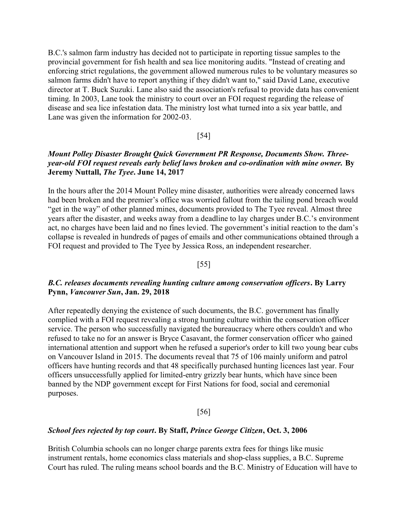B.C.'s salmon farm industry has decided not to participate in reporting tissue samples to the provincial government for fish health and sea lice monitoring audits. "Instead of creating and enforcing strict regulations, the government allowed numerous rules to be voluntary measures so salmon farms didn't have to report anything if they didn't want to," said David Lane, executive director at T. Buck Suzuki. Lane also said the association's refusal to provide data has convenient timing. In 2003, Lane took the ministry to court over an FOI request regarding the release of disease and sea lice infestation data. The ministry lost what turned into a six year battle, and Lane was given the information for 2002-03.

#### [54]

# Mount Polley Disaster Brought Quick Government PR Response, Documents Show. Threeyear-old FOI request reveals early belief laws broken and co-ordination with mine owner. By Jeremy Nuttall, The Tyee. June 14, 2017

In the hours after the 2014 Mount Polley mine disaster, authorities were already concerned laws had been broken and the premier's office was worried fallout from the tailing pond breach would "get in the way" of other planned mines, documents provided to The Tyee reveal. Almost three years after the disaster, and weeks away from a deadline to lay charges under B.C.'s environment act, no charges have been laid and no fines levied. The government's initial reaction to the dam's collapse is revealed in hundreds of pages of emails and other communications obtained through a FOI request and provided to The Tyee by Jessica Ross, an independent researcher.

# [55]

# B.C. releases documents revealing hunting culture among conservation officers. By Larry Pynn, Vancouver Sun, Jan. 29, 2018

After repeatedly denying the existence of such documents, the B.C. government has finally complied with a FOI request revealing a strong hunting culture within the conservation officer service. The person who successfully navigated the bureaucracy where others couldn't and who refused to take no for an answer is Bryce Casavant, the former conservation officer who gained international attention and support when he refused a superior's order to kill two young bear cubs on Vancouver Island in 2015. The documents reveal that 75 of 106 mainly uniform and patrol officers have hunting records and that 48 specifically purchased hunting licences last year. Four officers unsuccessfully applied for limited-entry grizzly bear hunts, which have since been banned by the NDP government except for First Nations for food, social and ceremonial purposes.

#### [56]

## School fees rejected by top court. By Staff, Prince George Citizen, Oct. 3, 2006

British Columbia schools can no longer charge parents extra fees for things like music instrument rentals, home economics class materials and shop-class supplies, a B.C. Supreme Court has ruled. The ruling means school boards and the B.C. Ministry of Education will have to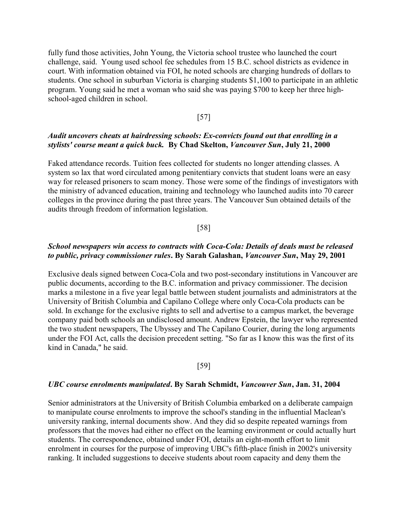fully fund those activities, John Young, the Victoria school trustee who launched the court challenge, said. Young used school fee schedules from 15 B.C. school districts as evidence in court. With information obtained via FOI, he noted schools are charging hundreds of dollars to students. One school in suburban Victoria is charging students \$1,100 to participate in an athletic program. Young said he met a woman who said she was paying \$700 to keep her three highschool-aged children in school.

## [57]

# Audit uncovers cheats at hairdressing schools: Ex-convicts found out that enrolling in a stylists' course meant a quick buck. By Chad Skelton, Vancouver Sun, July 21, 2000

Faked attendance records. Tuition fees collected for students no longer attending classes. A system so lax that word circulated among penitentiary convicts that student loans were an easy way for released prisoners to scam money. Those were some of the findings of investigators with the ministry of advanced education, training and technology who launched audits into 70 career colleges in the province during the past three years. The Vancouver Sun obtained details of the audits through freedom of information legislation.

#### [58]

# School newspapers win access to contracts with Coca-Cola: Details of deals must be released to public, privacy commissioner rules. By Sarah Galashan, Vancouver Sun, May 29, 2001

Exclusive deals signed between Coca-Cola and two post-secondary institutions in Vancouver are public documents, according to the B.C. information and privacy commissioner. The decision marks a milestone in a five year legal battle between student journalists and administrators at the University of British Columbia and Capilano College where only Coca-Cola products can be sold. In exchange for the exclusive rights to sell and advertise to a campus market, the beverage company paid both schools an undisclosed amount. Andrew Epstein, the lawyer who represented the two student newspapers, The Ubyssey and The Capilano Courier, during the long arguments under the FOI Act, calls the decision precedent setting. "So far as I know this was the first of its kind in Canada," he said.

#### [59]

## UBC course enrolments manipulated. By Sarah Schmidt, Vancouver Sun, Jan. 31, 2004

Senior administrators at the University of British Columbia embarked on a deliberate campaign to manipulate course enrolments to improve the school's standing in the influential Maclean's university ranking, internal documents show. And they did so despite repeated warnings from professors that the moves had either no effect on the learning environment or could actually hurt students. The correspondence, obtained under FOI, details an eight-month effort to limit enrolment in courses for the purpose of improving UBC's fifth-place finish in 2002's university ranking. It included suggestions to deceive students about room capacity and deny them the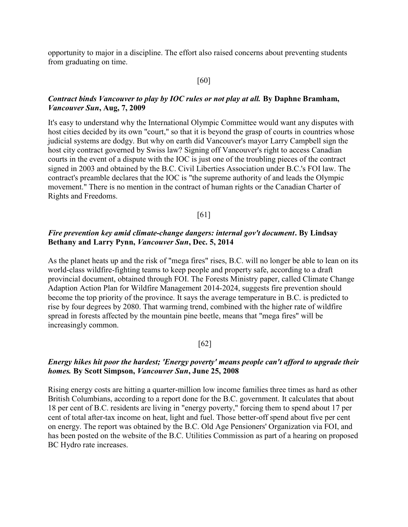opportunity to major in a discipline. The effort also raised concerns about preventing students from graduating on time.

# [60]

# Contract binds Vancouver to play by IOC rules or not play at all. By Daphne Bramham, Vancouver Sun, Aug, 7, 2009

It's easy to understand why the International Olympic Committee would want any disputes with host cities decided by its own "court," so that it is beyond the grasp of courts in countries whose judicial systems are dodgy. But why on earth did Vancouver's mayor Larry Campbell sign the host city contract governed by Swiss law? Signing off Vancouver's right to access Canadian courts in the event of a dispute with the IOC is just one of the troubling pieces of the contract signed in 2003 and obtained by the B.C. Civil Liberties Association under B.C.'s FOI law. The contract's preamble declares that the IOC is "the supreme authority of and leads the Olympic movement." There is no mention in the contract of human rights or the Canadian Charter of Rights and Freedoms.

#### [61]

# Fire prevention key amid climate-change dangers: internal gov't document. By Lindsay Bethany and Larry Pynn, Vancouver Sun, Dec. 5, 2014

As the planet heats up and the risk of "mega fires" rises, B.C. will no longer be able to lean on its world-class wildfire-fighting teams to keep people and property safe, according to a draft provincial document, obtained through FOI. The Forests Ministry paper, called Climate Change Adaption Action Plan for Wildfire Management 2014-2024, suggests fire prevention should become the top priority of the province. It says the average temperature in B.C. is predicted to rise by four degrees by 2080. That warming trend, combined with the higher rate of wildfire spread in forests affected by the mountain pine beetle, means that "mega fires" will be increasingly common.

#### [62]

# Energy hikes hit poor the hardest; 'Energy poverty' means people can't afford to upgrade their homes. By Scott Simpson, Vancouver Sun, June 25, 2008

Rising energy costs are hitting a quarter-million low income families three times as hard as other British Columbians, according to a report done for the B.C. government. It calculates that about 18 per cent of B.C. residents are living in "energy poverty," forcing them to spend about 17 per cent of total after-tax income on heat, light and fuel. Those better-off spend about five per cent on energy. The report was obtained by the B.C. Old Age Pensioners' Organization via FOI, and has been posted on the website of the B.C. Utilities Commission as part of a hearing on proposed BC Hydro rate increases.